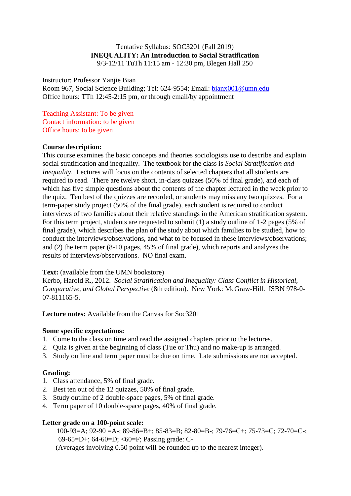#### Tentative Syllabus: SOC3201 (Fall 2019) **INEQUALITY: An Introduction to Social Stratification** 9/3-12/11 TuTh 11:15 am - 12:30 pm, Blegen Hall 250

Instructor: Professor Yanjie Bian

Room 967, Social Science Building; Tel: 624-9554; Email: bianx001@umn.edu Office hours: TTh 12:45-2:15 pm, or through email/by appointment

Teaching Assistant: To be given Contact information: to be given Office hours: to be given

#### **Course description:**

This course examines the basic concepts and theories sociologists use to describe and explain social stratification and inequality. The textbook for the class is *Social Stratification and Inequality*. Lectures will focus on the contents of selected chapters that all students are required to read. There are twelve short, in-class quizzes (50% of final grade), and each of which has five simple questions about the contents of the chapter lectured in the week prior to the quiz. Ten best of the quizzes are recorded, or students may miss any two quizzes. For a term-paper study project (50% of the final grade), each student is required to conduct interviews of two families about their relative standings in the American stratification system. For this term project, students are requested to submit (1) a study outline of 1-2 pages (5% of final grade), which describes the plan of the study about which families to be studied, how to conduct the interviews/observations, and what to be focused in these interviews/observations; and (2) the term paper (8-10 pages, 45% of final grade), which reports and analyzes the results of interviews/observations. NO final exam.

# **Text:** (available from the UMN bookstore)

Kerbo, Harold R., 2012. *Social Stratification and Inequality: Class Conflict in Historical, Comparative, and Global Perspective* (8th edition). New York: McGraw-Hill. ISBN 978-0- 07-811165-5.

**Lecture notes:** Available from the Canvas for Soc3201

#### **Some specific expectations:**

- 1. Come to the class on time and read the assigned chapters prior to the lectures.
- 2. Quiz is given at the beginning of class (Tue or Thu) and no make-up is arranged.
- 3. Study outline and term paper must be due on time. Late submissions are not accepted.

# **Grading:**

- 1. Class attendance, 5% of final grade.
- 2. Best ten out of the 12 quizzes, 50% of final grade.
- 3. Study outline of 2 double-space pages, 5% of final grade.
- 4. Term paper of 10 double-space pages, 40% of final grade.

# **Letter grade on a 100-point scale:**

100-93=A; 92-90 =A-; 89-86=B+; 85-83=B; 82-80=B-; 79-76=C+; 75-73=C; 72-70=C-; 69-65=D+; 64-60=D; <60=F; Passing grade: C- (Averages involving 0.50 point will be rounded up to the nearest integer).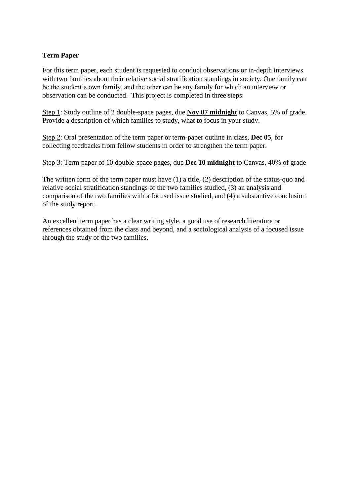# **Term Paper**

For this term paper, each student is requested to conduct observations or in-depth interviews with two families about their relative social stratification standings in society. One family can be the student's own family, and the other can be any family for which an interview or observation can be conducted. This project is completed in three steps:

Step 1: Study outline of 2 double-space pages, due **Nov 07 midnight** to Canvas, 5% of grade. Provide a description of which families to study, what to focus in your study.

Step 2: Oral presentation of the term paper or term-paper outline in class, **Dec 05**, for collecting feedbacks from fellow students in order to strengthen the term paper.

Step 3: Term paper of 10 double-space pages, due **Dec 10 midnight** to Canvas, 40% of grade

The written form of the term paper must have (1) a title, (2) description of the status-quo and relative social stratification standings of the two families studied, (3) an analysis and comparison of the two families with a focused issue studied, and (4) a substantive conclusion of the study report.

An excellent term paper has a clear writing style, a good use of research literature or references obtained from the class and beyond, and a sociological analysis of a focused issue through the study of the two families.